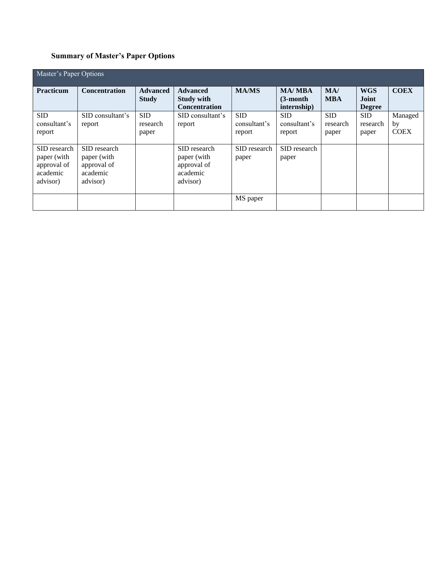# **Summary of Master's Paper Options**

| Master's Paper Options                                             |                                                                    |                                 |                                                                    |                                      |                                             |                                 |                                             |                              |
|--------------------------------------------------------------------|--------------------------------------------------------------------|---------------------------------|--------------------------------------------------------------------|--------------------------------------|---------------------------------------------|---------------------------------|---------------------------------------------|------------------------------|
| <b>Practicum</b>                                                   | <b>Concentration</b>                                               | <b>Advanced</b><br><b>Study</b> | <b>Advanced</b><br><b>Study with</b><br><b>Concentration</b>       | <b>MA/MS</b>                         | <b>MA/MBA</b><br>$(3$ -month<br>internship) | MA/<br><b>MBA</b>               | <b>WGS</b><br><b>Joint</b><br><b>Degree</b> | <b>COEX</b>                  |
| <b>SID</b><br>consultant's<br>report                               | SID consultant's<br>report                                         | <b>SID</b><br>research<br>paper | SID consultant's<br>report                                         | <b>SID</b><br>consultant's<br>report | <b>SID</b><br>consultant's<br>report        | <b>SID</b><br>research<br>paper | <b>SID</b><br>research<br>paper             | Managed<br>by<br><b>COEX</b> |
| SID research<br>paper (with<br>approval of<br>academic<br>advisor) | SID research<br>paper (with<br>approval of<br>academic<br>advisor) |                                 | SID research<br>paper (with<br>approval of<br>academic<br>advisor) | SID research<br>paper                | SID research<br>paper                       |                                 |                                             |                              |
|                                                                    |                                                                    |                                 |                                                                    | MS paper                             |                                             |                                 |                                             |                              |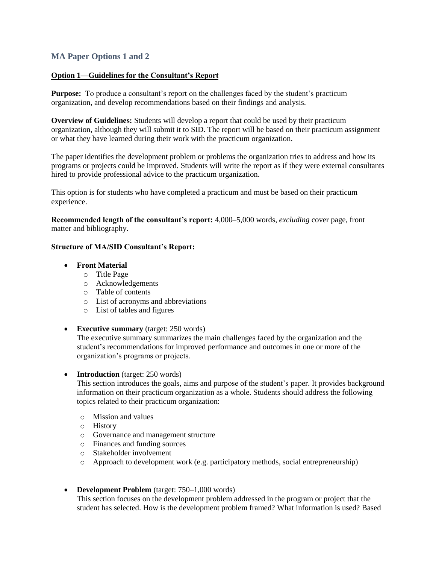## **MA Paper Options 1 and 2**

#### **Option 1—Guidelines for the Consultant's Report**

**Purpose:** To produce a consultant's report on the challenges faced by the student's practicum organization, and develop recommendations based on their findings and analysis.

**Overview of Guidelines:** Students will develop a report that could be used by their practicum organization, although they will submit it to SID. The report will be based on their practicum assignment or what they have learned during their work with the practicum organization.

The paper identifies the development problem or problems the organization tries to address and how its programs or projects could be improved. Students will write the report as if they were external consultants hired to provide professional advice to the practicum organization.

This option is for students who have completed a practicum and must be based on their practicum experience.

**Recommended length of the consultant's report:** 4,000–5,000 words, *excluding* cover page, front matter and bibliography.

#### **Structure of MA/SID Consultant's Report:**

#### **Front Material**

- o Title Page
- o Acknowledgements
- o Table of contents
- o List of acronyms and abbreviations
- o List of tables and figures
- **Executive summary** (target: 250 words)

The executive summary summarizes the main challenges faced by the organization and the student's recommendations for improved performance and outcomes in one or more of the organization's programs or projects.

• **Introduction** (target: 250 words)

This section introduces the goals, aims and purpose of the student's paper. It provides background information on their practicum organization as a whole. Students should address the following topics related to their practicum organization:

- o Mission and values
- o History
- o Governance and management structure
- o Finances and funding sources
- o Stakeholder involvement
- o Approach to development work (e.g. participatory methods, social entrepreneurship)
- **Development Problem** (target: 750–1,000 words)

This section focuses on the development problem addressed in the program or project that the student has selected. How is the development problem framed? What information is used? Based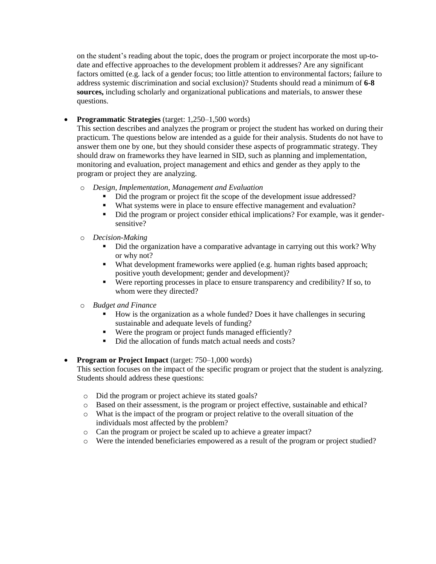on the student's reading about the topic, does the program or project incorporate the most up-todate and effective approaches to the development problem it addresses? Are any significant factors omitted (e.g. lack of a gender focus; too little attention to environmental factors; failure to address systemic discrimination and social exclusion)? Students should read a minimum of **6-8 sources,** including scholarly and organizational publications and materials, to answer these questions.

**Programmatic Strategies** (target: 1,250–1,500 words)

This section describes and analyzes the program or project the student has worked on during their practicum. The questions below are intended as a guide for their analysis. Students do not have to answer them one by one, but they should consider these aspects of programmatic strategy. They should draw on frameworks they have learned in SID, such as planning and implementation, monitoring and evaluation, project management and ethics and gender as they apply to the program or project they are analyzing.

- o *Design, Implementation, Management and Evaluation*
	- Did the program or project fit the scope of the development issue addressed?
	- What systems were in place to ensure effective management and evaluation?
	- Did the program or project consider ethical implications? For example, was it gendersensitive?
- o *Decision-Making*
	- Did the organization have a comparative advantage in carrying out this work? Why or why not?
	- What development frameworks were applied (e.g. human rights based approach; positive youth development; gender and development)?
	- Were reporting processes in place to ensure transparency and credibility? If so, to whom were they directed?
- **Budget and Finance** 
	- How is the organization as a whole funded? Does it have challenges in securing sustainable and adequate levels of funding?
	- Were the program or project funds managed efficiently?
	- Did the allocation of funds match actual needs and costs?
- **Program or Project Impact** (target: 750–1,000 words)

This section focuses on the impact of the specific program or project that the student is analyzing. Students should address these questions:

- o Did the program or project achieve its stated goals?
- o Based on their assessment, is the program or project effective, sustainable and ethical?
- o What is the impact of the program or project relative to the overall situation of the individuals most affected by the problem?
- o Can the program or project be scaled up to achieve a greater impact?
- o Were the intended beneficiaries empowered as a result of the program or project studied?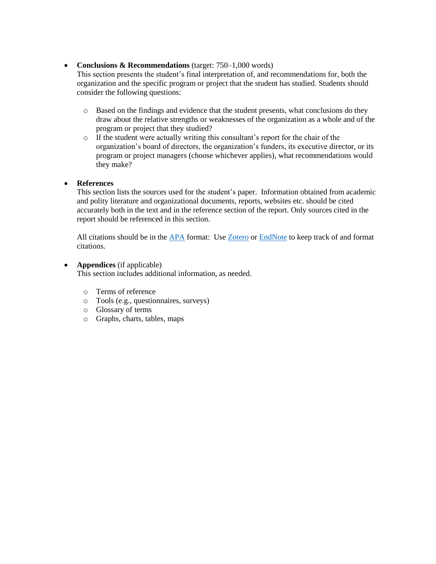### • **Conclusions & Recommendations** (target: 750–1,000 words)

This section presents the student's final interpretation of, and recommendations for, both the organization and the specific program or project that the student has studied. Students should consider the following questions:

- o Based on the findings and evidence that the student presents, what conclusions do they draw about the relative strengths or weaknesses of the organization as a whole and of the program or project that they studied?
- o If the student were actually writing this consultant's report for the chair of the organization's board of directors, the organization's funders, its executive director, or its program or project managers (choose whichever applies), what recommendations would they make?

#### **References**

This section lists the sources used for the student's paper. Information obtained from academic and polity literature and organizational documents, reports, websites etc. should be cited accurately both in the text and in the reference section of the report. Only sources cited in the report should be referenced in this section.

All citations should be in the [APA](mailto:https://owl.english.purdue.edu/owl/resource/560/02/) format: Use [Zotero](mailto:http://guides.library.brandeis.edu/zotero) or [EndNote](mailto:http://guides.library.brandeis.edu/srch.php%3Fq=endnote%26guide_id=301790) to keep track of and format citations.

#### **Appendices** (if applicable)

This section includes additional information, as needed.

- o Terms of reference
- o Tools (e.g., questionnaires, surveys)
- o Glossary of terms
- o Graphs, charts, tables, maps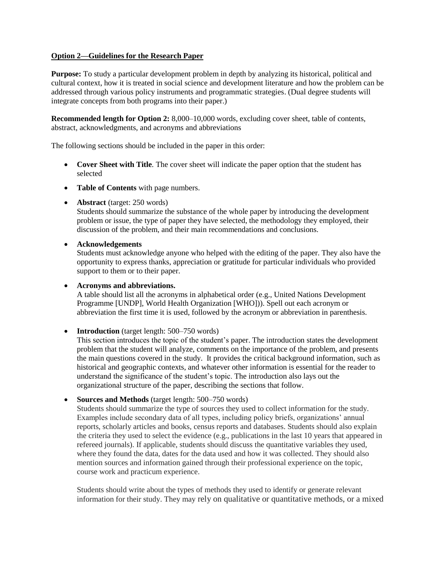#### **Option 2—Guidelines for the Research Paper**

**Purpose:** To study a particular development problem in depth by analyzing its historical, political and cultural context, how it is treated in social science and development literature and how the problem can be addressed through various policy instruments and programmatic strategies. (Dual degree students will integrate concepts from both programs into their paper.)

**Recommended length for Option 2:** 8,000–10,000 words, excluding cover sheet, table of contents, abstract, acknowledgments, and acronyms and abbreviations

The following sections should be included in the paper in this order:

- **Cover Sheet with Title***.* The cover sheet will indicate the paper option that the student has selected
- **Table of Contents** with page numbers.
- **Abstract** (target: 250 words)

Students should summarize the substance of the whole paper by introducing the development problem or issue, the type of paper they have selected, the methodology they employed, their discussion of the problem, and their main recommendations and conclusions.

**Acknowledgements**

Students must acknowledge anyone who helped with the editing of the paper. They also have the opportunity to express thanks, appreciation or gratitude for particular individuals who provided support to them or to their paper.

**Acronyms and abbreviations.**

A table should list all the acronyms in alphabetical order (e.g., United Nations Development Programme [UNDP], World Health Organization [WHO])). Spell out each acronym or abbreviation the first time it is used, followed by the acronym or abbreviation in parenthesis.

• **Introduction** (target length: 500–750 words)

This section introduces the topic of the student's paper. The introduction states the development problem that the student will analyze, comments on the importance of the problem, and presents the main questions covered in the study. It provides the critical background information, such as historical and geographic contexts, and whatever other information is essential for the reader to understand the significance of the student's topic. The introduction also lays out the organizational structure of the paper, describing the sections that follow.

• **Sources and Methods** (target length: 500–750 words)

Students should summarize the type of sources they used to collect information for the study. Examples include secondary data of all types, including policy briefs, organizations' annual reports, scholarly articles and books, census reports and databases. Students should also explain the criteria they used to select the evidence (e.g., publications in the last 10 years that appeared in refereed journals). If applicable, students should discuss the quantitative variables they used, where they found the data, dates for the data used and how it was collected. They should also mention sources and information gained through their professional experience on the topic, course work and practicum experience.

Students should write about the types of methods they used to identify or generate relevant information for their study. They may rely on qualitative or quantitative methods, or a mixed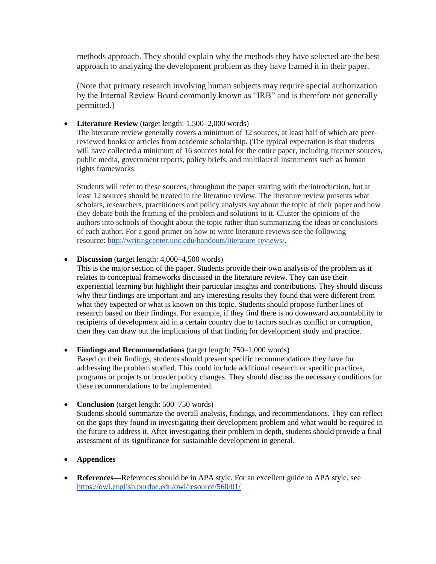methods approach. They should explain why the methods they have selected are the best approach to analyzing the development problem as they have framed it in their paper.

(Note that primary research involving human subjects may require special authorization by the Internal Review Board commonly known as "IRB" and is therefore not generally permitted.)

**Literature Review** (target length: 1,500–2,000 words)

The literature review generally covers a minimum of 12 sources, at least half of which are peerreviewed books or articles from academic scholarship. (The typical expectation is that students will have collected a minimum of 16 sources total for the entire paper, including Internet sources, public media, government reports, policy briefs, and multilateral instruments such as human rights frameworks.

Students will refer to these sources, throughout the paper starting with the introduction, but at least 12 sources should be treated in the literature review. The literature review presents what scholars, researchers, practitioners and policy analysts say about the topic of their paper and how they debate both the framing of the problem and solutions to it. Cluster the opinions of the authors into schools of thought about the topic rather than summarizing the ideas or conclusions of each author. For a good primer on how to write literature reviews see the following resource: [http://writingcenter.unc.edu/handouts/literature-reviews/.](http://writingcenter.unc.edu/handouts/literature-reviews/)

**Discussion** (target length: 4,000–4,500 words)

This is the major section of the paper. Students provide their own analysis of the problem as it relates to conceptual frameworks discussed in the literature review. They can use their experiential learning but highlight their particular insights and contributions. They should discuss why their findings are important and any interesting results they found that were different from what they expected or what is known on this topic. Students should propose further lines of research based on their findings. For example, if they find there is no downward accountability to recipients of development aid in a certain country due to factors such as conflict or corruption, then they can draw out the implications of that finding for development study and practice.

- **Findings and Recommendations** (target length: 750–1,000 words) Based on their findings, students should present specific recommendations they have for addressing the problem studied. This could include additional research or specific practices, programs or projects or broader policy changes. They should discuss the necessary conditions for these recommendations to be implemented.
- **Conclusion** (target length: 500–750 words) Students should summarize the overall analysis, findings, and recommendations. They can reflect on the gaps they found in investigating their development problem and what would be required in the future to address it. After investigating their problem in depth, students should provide a final assessment of its significance for sustainable development in general.
- **Appendices**
- **References—**References should be in APA style. For an excellent guide to APA style, see <https://owl.english.purdue.edu/owl/resource/560/01/>